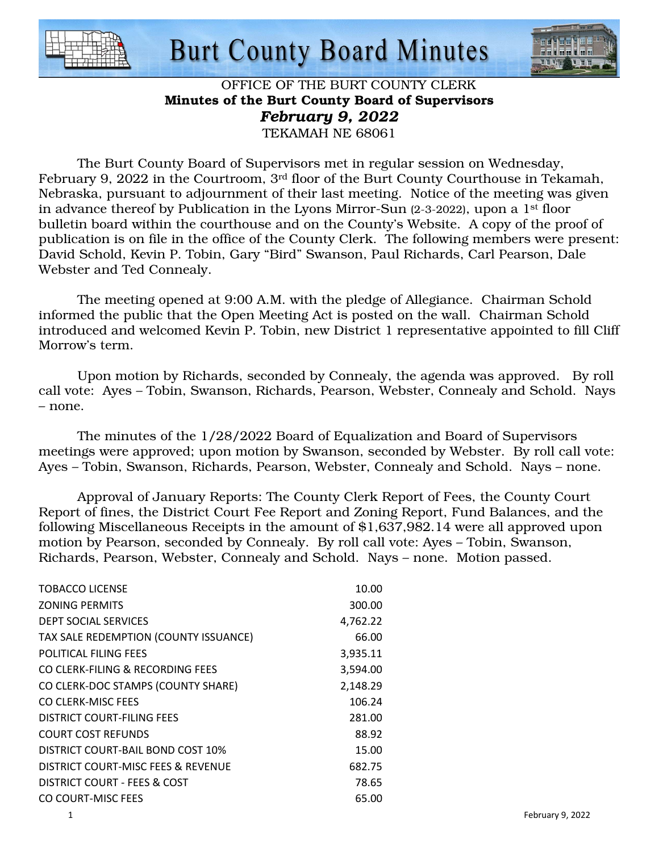

# **Burt County Board Minutes**



#### OFFICE OF THE BURT COUNTY CLERK Minutes of the Burt County Board of Supervisors *February 9, 2022*  TEKAMAH NE 68061

 The Burt County Board of Supervisors met in regular session on Wednesday, February 9, 2022 in the Courtroom, 3rd floor of the Burt County Courthouse in Tekamah, Nebraska, pursuant to adjournment of their last meeting. Notice of the meeting was given in advance thereof by Publication in the Lyons Mirror-Sun (2-3-2022), upon a 1st floor bulletin board within the courthouse and on the County's Website. A copy of the proof of publication is on file in the office of the County Clerk. The following members were present: David Schold, Kevin P. Tobin, Gary "Bird" Swanson, Paul Richards, Carl Pearson, Dale Webster and Ted Connealy.

 The meeting opened at 9:00 A.M. with the pledge of Allegiance. Chairman Schold informed the public that the Open Meeting Act is posted on the wall. Chairman Schold introduced and welcomed Kevin P. Tobin, new District 1 representative appointed to fill Cliff Morrow's term.

 Upon motion by Richards, seconded by Connealy, the agenda was approved. By roll call vote: Ayes – Tobin, Swanson, Richards, Pearson, Webster, Connealy and Schold. Nays – none.

 The minutes of the 1/28/2022 Board of Equalization and Board of Supervisors meetings were approved; upon motion by Swanson, seconded by Webster. By roll call vote: Ayes – Tobin, Swanson, Richards, Pearson, Webster, Connealy and Schold. Nays – none.

 Approval of January Reports: The County Clerk Report of Fees, the County Court Report of fines, the District Court Fee Report and Zoning Report, Fund Balances, and the following Miscellaneous Receipts in the amount of \$1,637,982.14 were all approved upon motion by Pearson, seconded by Connealy. By roll call vote: Ayes – Tobin, Swanson, Richards, Pearson, Webster, Connealy and Schold. Nays – none. Motion passed.

| TOBACCO LICENSE                       | 10.00    |
|---------------------------------------|----------|
| <b>ZONING PERMITS</b>                 | 300.00   |
| DEPT SOCIAL SERVICES                  | 4,762.22 |
| TAX SALE REDEMPTION (COUNTY ISSUANCE) | 66.00    |
| POLITICAL FILING FFES                 | 3,935.11 |
| CO CLERK-FILING & RECORDING FEES      | 3,594.00 |
| CO CLERK-DOC STAMPS (COUNTY SHARE)    | 2,148.29 |
| CO CLERK-MISC FEES                    | 106.24   |
| DISTRICT COURT-FILING FFES            | 281.00   |
| <b>COURT COST REFUNDS</b>             | 88.92    |
| DISTRICT COURT-BAIL BOND COST 10%     | 15.00    |
| DISTRICT COURT-MISC FEES & REVENUE    | 682.75   |
| DISTRICT COURT - FEES & COST          | 78.65    |
| CO COURT-MISC FEES                    | 65.00    |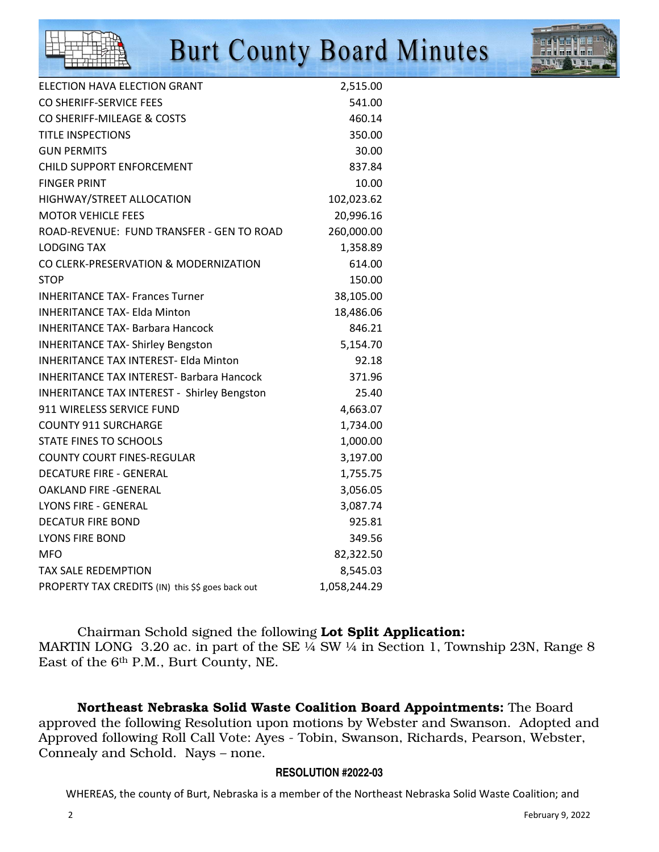# **Burt County Board Minutes**



| ELECTION HAVA ELECTION GRANT                       | 2,515.00     |
|----------------------------------------------------|--------------|
| CO SHERIFF-SERVICE FFES                            | 541.00       |
| CO SHERIFF-MILEAGE & COSTS                         | 460.14       |
| <b>TITLE INSPECTIONS</b>                           | 350.00       |
| <b>GUN PERMITS</b>                                 | 30.00        |
| CHILD SUPPORT ENFORCEMENT                          | 837.84       |
| <b>FINGER PRINT</b>                                | 10.00        |
| HIGHWAY/STREET ALLOCATION                          | 102,023.62   |
| <b>MOTOR VEHICLE FEES</b>                          | 20,996.16    |
| ROAD-REVENUE: FUND TRANSFER - GEN TO ROAD          | 260,000.00   |
| <b>LODGING TAX</b>                                 | 1,358.89     |
| CO CLERK-PRESERVATION & MODERNIZATION              | 614.00       |
| STOP                                               | 150.00       |
| <b>INHERITANCE TAX- Frances Turner</b>             | 38,105.00    |
| <b>INHERITANCE TAX- Elda Minton</b>                | 18,486.06    |
| <b>INHERITANCE TAX- Barbara Hancock</b>            | 846.21       |
| <b>INHERITANCE TAX- Shirley Bengston</b>           | 5,154.70     |
| <b>INHERITANCE TAX INTEREST- Elda Minton</b>       | 92.18        |
| <b>INHERITANCE TAX INTEREST- Barbara Hancock</b>   | 371.96       |
| <b>INHERITANCE TAX INTEREST - Shirley Bengston</b> | 25.40        |
| 911 WIRELESS SERVICE FUND                          | 4,663.07     |
| <b>COUNTY 911 SURCHARGE</b>                        | 1,734.00     |
| <b>STATE FINES TO SCHOOLS</b>                      | 1,000.00     |
| <b>COUNTY COURT FINES-REGULAR</b>                  | 3,197.00     |
| <b>DECATURE FIRE - GENERAL</b>                     | 1,755.75     |
| OAKLAND FIRE -GENERAL                              | 3,056.05     |
| <b>LYONS FIRE - GENERAL</b>                        | 3,087.74     |
| <b>DECATUR FIRE BOND</b>                           | 925.81       |
| <b>LYONS FIRE BOND</b>                             | 349.56       |
| MFO                                                | 82,322.50    |
| <b>TAX SALE REDEMPTION</b>                         | 8,545.03     |
| PROPERTY TAX CREDITS (IN) this \$\$ goes back out  | 1,058,244.29 |

 Chairman Schold signed the following Lot Split Application: MARTIN LONG 3.20 ac. in part of the SE  $\frac{1}{4}$  SW  $\frac{1}{4}$  in Section 1, Township 23N, Range 8 East of the 6th P.M., Burt County, NE.

Northeast Nebraska Solid Waste Coalition Board Appointments: The Board approved the following Resolution upon motions by Webster and Swanson. Adopted and Approved following Roll Call Vote: Ayes - Tobin, Swanson, Richards, Pearson, Webster, Connealy and Schold. Nays – none.

#### **RESOLUTION #2022-03**

WHEREAS, the county of Burt, Nebraska is a member of the Northeast Nebraska Solid Waste Coalition; and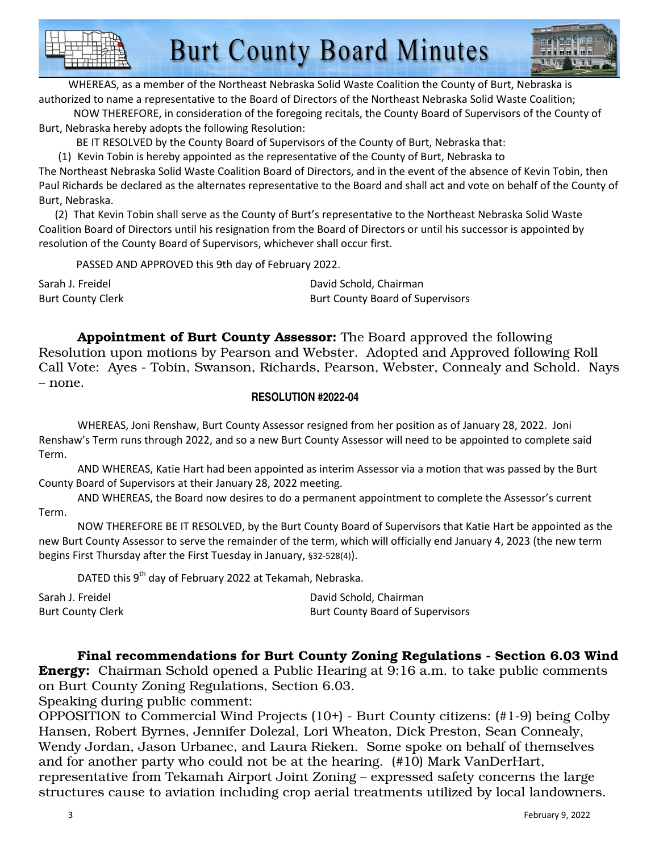

 WHEREAS, as a member of the Northeast Nebraska Solid Waste Coalition the County of Burt, Nebraska is authorized to name a representative to the Board of Directors of the Northeast Nebraska Solid Waste Coalition;

 NOW THEREFORE, in consideration of the foregoing recitals, the County Board of Supervisors of the County of Burt, Nebraska hereby adopts the following Resolution:

BE IT RESOLVED by the County Board of Supervisors of the County of Burt, Nebraska that:

(1) Kevin Tobin is hereby appointed as the representative of the County of Burt, Nebraska to

The Northeast Nebraska Solid Waste Coalition Board of Directors, and in the event of the absence of Kevin Tobin, then Paul Richards be declared as the alternates representative to the Board and shall act and vote on behalf of the County of Burt, Nebraska.

 (2) That Kevin Tobin shall serve as the County of Burt's representative to the Northeast Nebraska Solid Waste Coalition Board of Directors until his resignation from the Board of Directors or until his successor is appointed by resolution of the County Board of Supervisors, whichever shall occur first.

PASSED AND APPROVED this 9th day of February 2022.

Sarah J. Freidel **David Schold, Chairman** Burt County Clerk **Burt County Clerk** Burt County Board of Supervisors

Appointment of Burt County Assessor: The Board approved the following Resolution upon motions by Pearson and Webster. Adopted and Approved following Roll Call Vote: Ayes - Tobin, Swanson, Richards, Pearson, Webster, Connealy and Schold. Nays – none.

#### **RESOLUTION #2022-04**

 WHEREAS, Joni Renshaw, Burt County Assessor resigned from her position as of January 28, 2022. Joni Renshaw's Term runs through 2022, and so a new Burt County Assessor will need to be appointed to complete said Term.

 AND WHEREAS, Katie Hart had been appointed as interim Assessor via a motion that was passed by the Burt County Board of Supervisors at their January 28, 2022 meeting.

 AND WHEREAS, the Board now desires to do a permanent appointment to complete the Assessor's current Term.

 NOW THEREFORE BE IT RESOLVED, by the Burt County Board of Supervisors that Katie Hart be appointed as the new Burt County Assessor to serve the remainder of the term, which will officially end January 4, 2023 (the new term begins First Thursday after the First Tuesday in January, §32-528(4)).

DATED this 9<sup>th</sup> day of February 2022 at Tekamah, Nebraska.

| Sarah J. Freidel         | David Schold, Chairman                  |
|--------------------------|-----------------------------------------|
| <b>Burt County Clerk</b> | <b>Burt County Board of Supervisors</b> |

## Final recommendations for Burt County Zoning Regulations - Section 6.03 Wind

**Energy:** Chairman Schold opened a Public Hearing at 9:16 a.m. to take public comments on Burt County Zoning Regulations, Section 6.03.

Speaking during public comment:

OPPOSITION to Commercial Wind Projects (10+) - Burt County citizens: (#1-9) being Colby Hansen, Robert Byrnes, Jennifer Dolezal, Lori Wheaton, Dick Preston, Sean Connealy, Wendy Jordan, Jason Urbanec, and Laura Rieken. Some spoke on behalf of themselves and for another party who could not be at the hearing. (#10) Mark VanDerHart, representative from Tekamah Airport Joint Zoning – expressed safety concerns the large structures cause to aviation including crop aerial treatments utilized by local landowners.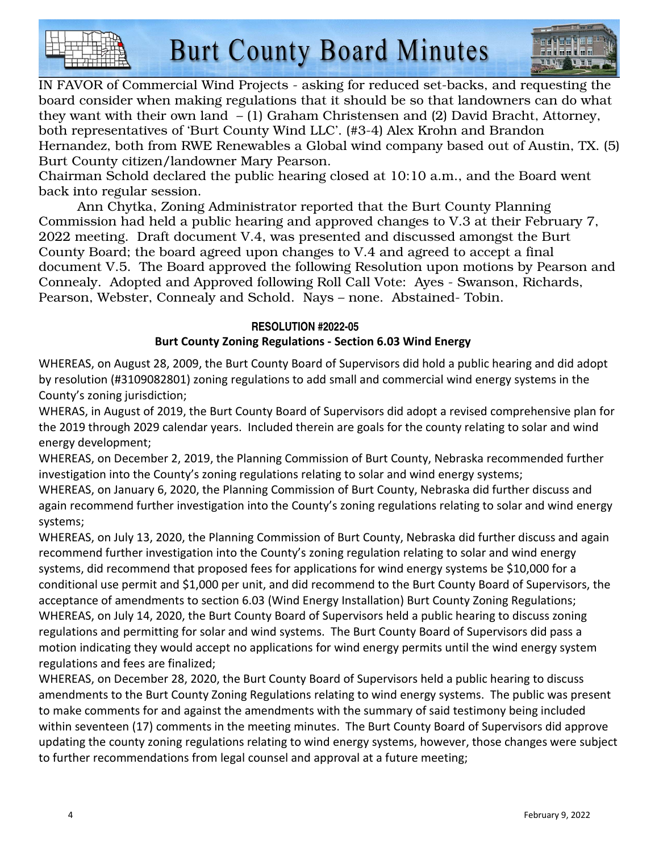



IN FAVOR of Commercial Wind Projects - asking for reduced set-backs, and requesting the board consider when making regulations that it should be so that landowners can do what they want with their own land – (1) Graham Christensen and (2) David Bracht, Attorney, both representatives of 'Burt County Wind LLC'. (#3-4) Alex Krohn and Brandon Hernandez, both from RWE Renewables a Global wind company based out of Austin, TX. (5) Burt County citizen/landowner Mary Pearson.

Chairman Schold declared the public hearing closed at 10:10 a.m., and the Board went back into regular session.

 Ann Chytka, Zoning Administrator reported that the Burt County Planning Commission had held a public hearing and approved changes to V.3 at their February 7, 2022 meeting. Draft document V.4, was presented and discussed amongst the Burt County Board; the board agreed upon changes to V.4 and agreed to accept a final document V.5. The Board approved the following Resolution upon motions by Pearson and Connealy. Adopted and Approved following Roll Call Vote: Ayes - Swanson, Richards, Pearson, Webster, Connealy and Schold. Nays – none. Abstained- Tobin.

## **RESOLUTION #2022-05 Burt County Zoning Regulations - Section 6.03 Wind Energy**

WHEREAS, on August 28, 2009, the Burt County Board of Supervisors did hold a public hearing and did adopt by resolution (#3109082801) zoning regulations to add small and commercial wind energy systems in the County's zoning jurisdiction;

WHERAS, in August of 2019, the Burt County Board of Supervisors did adopt a revised comprehensive plan for the 2019 through 2029 calendar years. Included therein are goals for the county relating to solar and wind energy development;

WHEREAS, on December 2, 2019, the Planning Commission of Burt County, Nebraska recommended further investigation into the County's zoning regulations relating to solar and wind energy systems;

WHEREAS, on January 6, 2020, the Planning Commission of Burt County, Nebraska did further discuss and again recommend further investigation into the County's zoning regulations relating to solar and wind energy systems;

WHEREAS, on July 13, 2020, the Planning Commission of Burt County, Nebraska did further discuss and again recommend further investigation into the County's zoning regulation relating to solar and wind energy systems, did recommend that proposed fees for applications for wind energy systems be \$10,000 for a conditional use permit and \$1,000 per unit, and did recommend to the Burt County Board of Supervisors, the acceptance of amendments to section 6.03 (Wind Energy Installation) Burt County Zoning Regulations; WHEREAS, on July 14, 2020, the Burt County Board of Supervisors held a public hearing to discuss zoning regulations and permitting for solar and wind systems. The Burt County Board of Supervisors did pass a motion indicating they would accept no applications for wind energy permits until the wind energy system regulations and fees are finalized;

WHEREAS, on December 28, 2020, the Burt County Board of Supervisors held a public hearing to discuss amendments to the Burt County Zoning Regulations relating to wind energy systems. The public was present to make comments for and against the amendments with the summary of said testimony being included within seventeen (17) comments in the meeting minutes. The Burt County Board of Supervisors did approve updating the county zoning regulations relating to wind energy systems, however, those changes were subject to further recommendations from legal counsel and approval at a future meeting;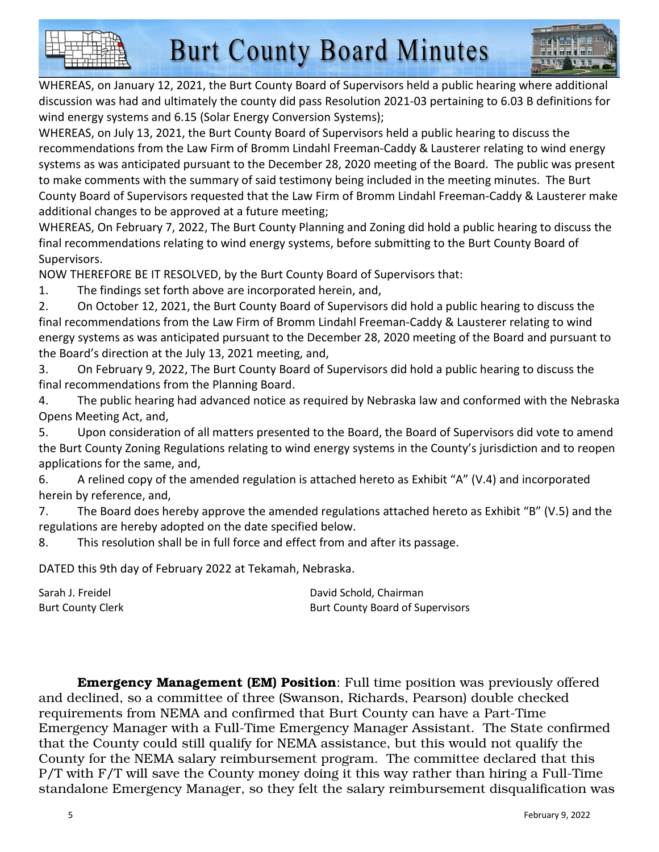

WHEREAS, on January 12, 2021, the Burt County Board of Supervisors held a public hearing where additional discussion was had and ultimately the county did pass Resolution 2021-03 pertaining to 6.03 B definitions for wind energy systems and 6.15 (Solar Energy Conversion Systems);

WHEREAS, on July 13, 2021, the Burt County Board of Supervisors held a public hearing to discuss the recommendations from the Law Firm of Bromm Lindahl Freeman-Caddy & Lausterer relating to wind energy systems as was anticipated pursuant to the December 28, 2020 meeting of the Board. The public was present to make comments with the summary of said testimony being included in the meeting minutes. The Burt County Board of Supervisors requested that the Law Firm of Bromm Lindahl Freeman-Caddy & Lausterer make additional changes to be approved at a future meeting;

WHEREAS, On February 7, 2022, The Burt County Planning and Zoning did hold a public hearing to discuss the final recommendations relating to wind energy systems, before submitting to the Burt County Board of Supervisors.

NOW THEREFORE BE IT RESOLVED, by the Burt County Board of Supervisors that:

1. The findings set forth above are incorporated herein, and,

2. On October 12, 2021, the Burt County Board of Supervisors did hold a public hearing to discuss the final recommendations from the Law Firm of Bromm Lindahl Freeman-Caddy & Lausterer relating to wind energy systems as was anticipated pursuant to the December 28, 2020 meeting of the Board and pursuant to the Board's direction at the July 13, 2021 meeting, and,

3. On February 9, 2022, The Burt County Board of Supervisors did hold a public hearing to discuss the final recommendations from the Planning Board.

4. The public hearing had advanced notice as required by Nebraska law and conformed with the Nebraska Opens Meeting Act, and,

5. Upon consideration of all matters presented to the Board, the Board of Supervisors did vote to amend the Burt County Zoning Regulations relating to wind energy systems in the County's jurisdiction and to reopen applications for the same, and,

6. A relined copy of the amended regulation is attached hereto as Exhibit "A" (V.4) and incorporated herein by reference, and,

7. The Board does hereby approve the amended regulations attached hereto as Exhibit "B" (V.5) and the regulations are hereby adopted on the date specified below.

8. This resolution shall be in full force and effect from and after its passage.

DATED this 9th day of February 2022 at Tekamah, Nebraska.

| Sarah J. Freidel         | David Schold, Chairman                  |
|--------------------------|-----------------------------------------|
| <b>Burt County Clerk</b> | <b>Burt County Board of Supervisors</b> |

Emergency Management (EM) Position: Full time position was previously offered and declined, so a committee of three (Swanson, Richards, Pearson) double checked requirements from NEMA and confirmed that Burt County can have a Part-Time Emergency Manager with a Full-Time Emergency Manager Assistant. The State confirmed that the County could still qualify for NEMA assistance, but this would not qualify the County for the NEMA salary reimbursement program. The committee declared that this P/T with F/T will save the County money doing it this way rather than hiring a Full-Time standalone Emergency Manager, so they felt the salary reimbursement disqualification was